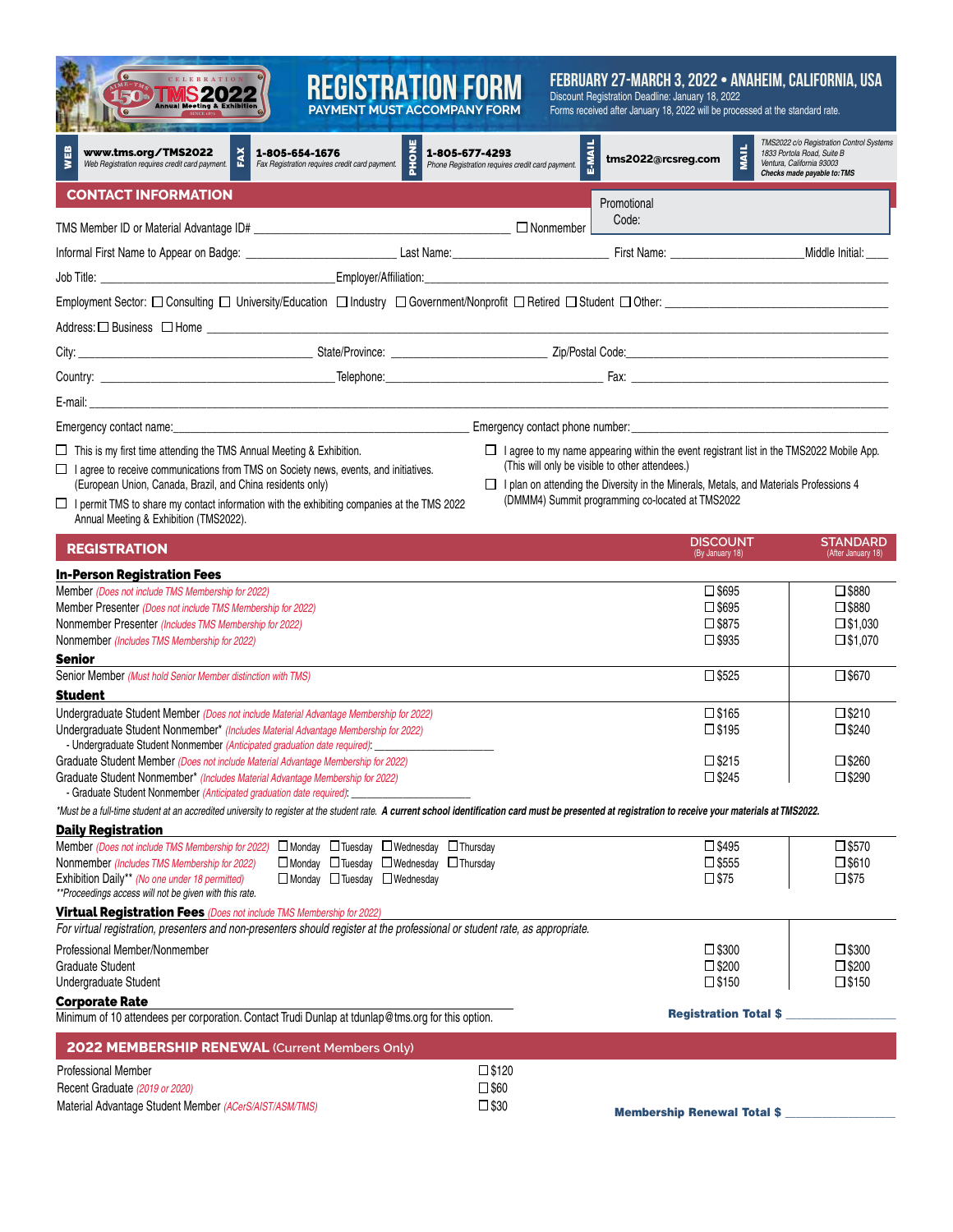| CELEBRATION<br><b>TMS2022</b><br>150                                                                                                                                                                                                                                                                                                                                                    | <b>REGISTRATION FORM</b><br><b>PAYMENT MUST ACCOMPANY FORM</b>            |                                                                    |               | FEBRUARY 27-MARCH 3, 2022 • ANAHEIM, CALIFORNIA, USA<br>Discount Registration Deadline: January 18, 2022<br>Forms received after January 18, 2022 will be processed at the standard rate.                                                                                                     |                                                                                                                                    |
|-----------------------------------------------------------------------------------------------------------------------------------------------------------------------------------------------------------------------------------------------------------------------------------------------------------------------------------------------------------------------------------------|---------------------------------------------------------------------------|--------------------------------------------------------------------|---------------|-----------------------------------------------------------------------------------------------------------------------------------------------------------------------------------------------------------------------------------------------------------------------------------------------|------------------------------------------------------------------------------------------------------------------------------------|
| WEB<br>FAX<br>www.tms.org/TMS2022<br>Web Registration requires credit card payment.                                                                                                                                                                                                                                                                                                     | PHONE<br>1-805-654-1676<br>Fax Registration requires credit card payment. | 1-805-677-4293<br>Phone Registration requires credit card payment. | <b>E-MAIL</b> | <b>MAIL</b><br>tms2022@rcsreg.com                                                                                                                                                                                                                                                             | TMS2022 c/o Registration Control Systems<br>1833 Portola Road, Suite B<br>Ventura, California 93003<br>Checks made payable to: TMS |
| <b>CONTACT INFORMATION</b>                                                                                                                                                                                                                                                                                                                                                              |                                                                           |                                                                    |               | Promotional                                                                                                                                                                                                                                                                                   |                                                                                                                                    |
|                                                                                                                                                                                                                                                                                                                                                                                         |                                                                           |                                                                    |               | Code:                                                                                                                                                                                                                                                                                         |                                                                                                                                    |
| Informal First Name to Appear on Badge: <b>contained a contained a contained a contained a contained a contained a</b> contact Latin Latin Contained a contact Latin Contained a contact Latin Contact Latin Contact Latin Contact                                                                                                                                                      |                                                                           |                                                                    |               |                                                                                                                                                                                                                                                                                               | Middle Initial:                                                                                                                    |
|                                                                                                                                                                                                                                                                                                                                                                                         |                                                                           |                                                                    |               |                                                                                                                                                                                                                                                                                               |                                                                                                                                    |
|                                                                                                                                                                                                                                                                                                                                                                                         |                                                                           |                                                                    |               |                                                                                                                                                                                                                                                                                               |                                                                                                                                    |
|                                                                                                                                                                                                                                                                                                                                                                                         |                                                                           |                                                                    |               |                                                                                                                                                                                                                                                                                               |                                                                                                                                    |
|                                                                                                                                                                                                                                                                                                                                                                                         |                                                                           |                                                                    |               |                                                                                                                                                                                                                                                                                               |                                                                                                                                    |
|                                                                                                                                                                                                                                                                                                                                                                                         |                                                                           |                                                                    |               |                                                                                                                                                                                                                                                                                               |                                                                                                                                    |
|                                                                                                                                                                                                                                                                                                                                                                                         |                                                                           |                                                                    |               |                                                                                                                                                                                                                                                                                               |                                                                                                                                    |
|                                                                                                                                                                                                                                                                                                                                                                                         |                                                                           |                                                                    |               |                                                                                                                                                                                                                                                                                               |                                                                                                                                    |
| Emergency contact name: example and contact product of the example of the example of the example of the example of the example of the example of the example of the example of the example of the example of the example of th                                                                                                                                                          |                                                                           |                                                                    |               |                                                                                                                                                                                                                                                                                               |                                                                                                                                    |
| $\Box$ This is my first time attending the TMS Annual Meeting & Exhibition.<br>$\Box$ I agree to receive communications from TMS on Society news, events, and initiatives.<br>(European Union, Canada, Brazil, and China residents only)<br>$\Box$ I permit TMS to share my contact information with the exhibiting companies at the TMS 2022<br>Annual Meeting & Exhibition (TMS2022). |                                                                           |                                                                    |               | □ I agree to my name appearing within the event registrant list in the TMS2022 Mobile App.<br>(This will only be visible to other attendees.)<br>□ I plan on attending the Diversity in the Minerals, Metals, and Materials Professions 4<br>(DMMM4) Summit programming co-located at TMS2022 |                                                                                                                                    |
| <b>REGISTRATION</b>                                                                                                                                                                                                                                                                                                                                                                     |                                                                           |                                                                    |               | <b>DISCOUNT</b><br>(By January 18)                                                                                                                                                                                                                                                            | <b>STANDARD</b><br>(After January 18)                                                                                              |
| <b>In-Person Registration Fees</b>                                                                                                                                                                                                                                                                                                                                                      |                                                                           |                                                                    |               |                                                                                                                                                                                                                                                                                               |                                                                                                                                    |
| Member (Does not include TMS Membership for 2022)                                                                                                                                                                                                                                                                                                                                       |                                                                           |                                                                    |               | $\square$ \$695                                                                                                                                                                                                                                                                               | $\square$ \$880                                                                                                                    |
| Member Presenter (Does not include TMS Membership for 2022)                                                                                                                                                                                                                                                                                                                             |                                                                           |                                                                    |               | $\square$ \$695                                                                                                                                                                                                                                                                               | $\square$ \$880                                                                                                                    |
| Nonmember Presenter (Includes TMS Membership for 2022)<br>Nonmember (Includes TMS Membership for 2022)                                                                                                                                                                                                                                                                                  |                                                                           |                                                                    |               | $\square$ \$875<br>$\square$ \$935                                                                                                                                                                                                                                                            | $\square$ \$1,030<br>$\square$ \$1,070                                                                                             |
| <b>Senior</b>                                                                                                                                                                                                                                                                                                                                                                           |                                                                           |                                                                    |               |                                                                                                                                                                                                                                                                                               |                                                                                                                                    |
| Senior Member (Must hold Senior Member distinction with TMS)                                                                                                                                                                                                                                                                                                                            |                                                                           |                                                                    |               | $\Box$ \$525                                                                                                                                                                                                                                                                                  | $\square$ \$670                                                                                                                    |
| <b>Student</b>                                                                                                                                                                                                                                                                                                                                                                          |                                                                           |                                                                    |               |                                                                                                                                                                                                                                                                                               |                                                                                                                                    |
| Undergraduate Student Member (Does not include Material Advantage Membership for 2022)<br>Undergraduate Student Nonmember* (Includes Material Advantage Membership for 2022)                                                                                                                                                                                                            |                                                                           |                                                                    |               | $\square$ \$165<br>$\square$ \$195                                                                                                                                                                                                                                                            | $\square$ \$210<br>$\square$ \$240                                                                                                 |
| - Undergraduate Student Nonmember (Anticipated graduation date required):                                                                                                                                                                                                                                                                                                               |                                                                           |                                                                    |               |                                                                                                                                                                                                                                                                                               |                                                                                                                                    |
| Graduate Student Member (Does not include Material Advantage Membership for 2022)<br>Graduate Student Nonmember* (Includes Material Advantage Membership for 2022)                                                                                                                                                                                                                      |                                                                           |                                                                    |               | $\square$ \$215<br>$\square$ \$245                                                                                                                                                                                                                                                            | $\square$ \$260<br>$\square$ \$290                                                                                                 |
| - Graduate Student Nonmember (Anticipated graduation date required):                                                                                                                                                                                                                                                                                                                    |                                                                           |                                                                    |               |                                                                                                                                                                                                                                                                                               |                                                                                                                                    |
| *Must be a full-time student at an accredited university to register at the student rate. A current school identification card must be presented at registration to receive your materials at TMS2022.                                                                                                                                                                                  |                                                                           |                                                                    |               |                                                                                                                                                                                                                                                                                               |                                                                                                                                    |
| <b>Daily Registration</b><br>Member (Does not include TMS Membership for 2022)                                                                                                                                                                                                                                                                                                          | □ Monday □ Tuesday □ Wednesday □ Thursday                                 |                                                                    |               | $\square$ \$495                                                                                                                                                                                                                                                                               | $\square$ \$570                                                                                                                    |
| Nonmember (Includes TMS Membership for 2022)                                                                                                                                                                                                                                                                                                                                            | $\Box$ Monday $\Box$ Tuesday $\Box$ Wednesday $\Box$ Thursday             |                                                                    |               | $\square$ \$555                                                                                                                                                                                                                                                                               | $\square$ \$610                                                                                                                    |
| Exhibition Daily** (No one under 18 permitted)                                                                                                                                                                                                                                                                                                                                          | □ Monday □ Tuesday □ Wednesday                                            |                                                                    |               | $\square$ \$75                                                                                                                                                                                                                                                                                | $\square$ \$75                                                                                                                     |
| **Proceedings access will not be given with this rate.<br><b>Virtual Registration Fees (Does not include TMS Membership for 2022)</b>                                                                                                                                                                                                                                                   |                                                                           |                                                                    |               |                                                                                                                                                                                                                                                                                               |                                                                                                                                    |
| For virtual registration, presenters and non-presenters should register at the professional or student rate, as appropriate.                                                                                                                                                                                                                                                            |                                                                           |                                                                    |               |                                                                                                                                                                                                                                                                                               |                                                                                                                                    |
| Professional Member/Nonmember                                                                                                                                                                                                                                                                                                                                                           |                                                                           |                                                                    |               | $\square$ \$300                                                                                                                                                                                                                                                                               | $\square$ \$300                                                                                                                    |
| <b>Graduate Student</b><br>Undergraduate Student                                                                                                                                                                                                                                                                                                                                        |                                                                           |                                                                    |               | $\square$ \$200<br>$\square$ \$150                                                                                                                                                                                                                                                            | $\square$ \$200<br>$\square$ \$150                                                                                                 |
| <b>Corporate Rate</b>                                                                                                                                                                                                                                                                                                                                                                   |                                                                           |                                                                    |               |                                                                                                                                                                                                                                                                                               |                                                                                                                                    |
| Minimum of 10 attendees per corporation. Contact Trudi Dunlap at tdunlap@tms.org for this option.                                                                                                                                                                                                                                                                                       |                                                                           |                                                                    |               | <b>Registration Total \$</b>                                                                                                                                                                                                                                                                  |                                                                                                                                    |
| 2022 MEMBERSHIP RENEWAL (Current Members Only)                                                                                                                                                                                                                                                                                                                                          |                                                                           |                                                                    |               |                                                                                                                                                                                                                                                                                               |                                                                                                                                    |
| <b>Professional Member</b>                                                                                                                                                                                                                                                                                                                                                              |                                                                           | $\square$ \$120                                                    |               |                                                                                                                                                                                                                                                                                               |                                                                                                                                    |
| Recent Graduate (2019 or 2020)                                                                                                                                                                                                                                                                                                                                                          |                                                                           | $\square$ \$60                                                     |               |                                                                                                                                                                                                                                                                                               |                                                                                                                                    |
| Material Advantage Student Member (ACerS/AIST/ASM/TMS)                                                                                                                                                                                                                                                                                                                                  |                                                                           | $\square$ \$30                                                     |               | <b>Membership Renewal Total \$_</b>                                                                                                                                                                                                                                                           |                                                                                                                                    |